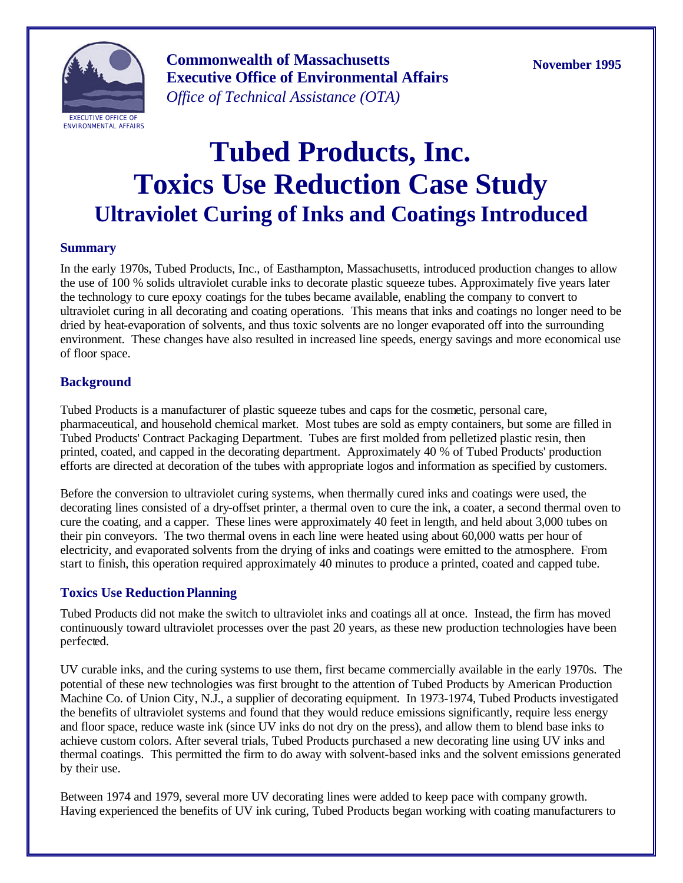

**Commonwealth of Massachusetts Executive Office of Environmental Affairs** *Office of Technical Assistance (OTA)*

**November 1995**

# **Tubed Products, Inc. Toxics Use Reduction Case Study Ultraviolet Curing of Inks and Coatings Introduced**

#### **Summary**

In the early 1970s, Tubed Products, Inc., of Easthampton, Massachusetts, introduced production changes to allow the use of 100 % solids ultraviolet curable inks to decorate plastic squeeze tubes. Approximately five years later the technology to cure epoxy coatings for the tubes became available, enabling the company to convert to ultraviolet curing in all decorating and coating operations. This means that inks and coatings no longer need to be dried by heat-evaporation of solvents, and thus toxic solvents are no longer evaporated off into the surrounding environment. These changes have also resulted in increased line speeds, energy savings and more economical use of floor space.

# **Background**

Tubed Products is a manufacturer of plastic squeeze tubes and caps for the cosmetic, personal care, pharmaceutical, and household chemical market. Most tubes are sold as empty containers, but some are filled in Tubed Products' Contract Packaging Department. Tubes are first molded from pelletized plastic resin, then printed, coated, and capped in the decorating department. Approximately 40 % of Tubed Products' production efforts are directed at decoration of the tubes with appropriate logos and information as specified by customers.

Before the conversion to ultraviolet curing systems, when thermally cured inks and coatings were used, the decorating lines consisted of a dry-offset printer, a thermal oven to cure the ink, a coater, a second thermal oven to cure the coating, and a capper. These lines were approximately 40 feet in length, and held about 3,000 tubes on their pin conveyors. The two thermal ovens in each line were heated using about 60,000 watts per hour of electricity, and evaporated solvents from the drying of inks and coatings were emitted to the atmosphere. From start to finish, this operation required approximately 40 minutes to produce a printed, coated and capped tube.

# **Toxics Use Reduction Planning**

Tubed Products did not make the switch to ultraviolet inks and coatings all at once. Instead, the firm has moved continuously toward ultraviolet processes over the past 20 years, as these new production technologies have been perfected.

UV curable inks, and the curing systems to use them, first became commercially available in the early 1970s. The potential of these new technologies was first brought to the attention of Tubed Products by American Production Machine Co. of Union City, N.J., a supplier of decorating equipment. In 1973-1974, Tubed Products investigated the benefits of ultraviolet systems and found that they would reduce emissions significantly, require less energy and floor space, reduce waste ink (since UV inks do not dry on the press), and allow them to blend base inks to achieve custom colors. After several trials, Tubed Products purchased a new decorating line using UV inks and thermal coatings. This permitted the firm to do away with solvent-based inks and the solvent emissions generated by their use.

Between 1974 and 1979, several more UV decorating lines were added to keep pace with company growth. Having experienced the benefits of UV ink curing, Tubed Products began working with coating manufacturers to